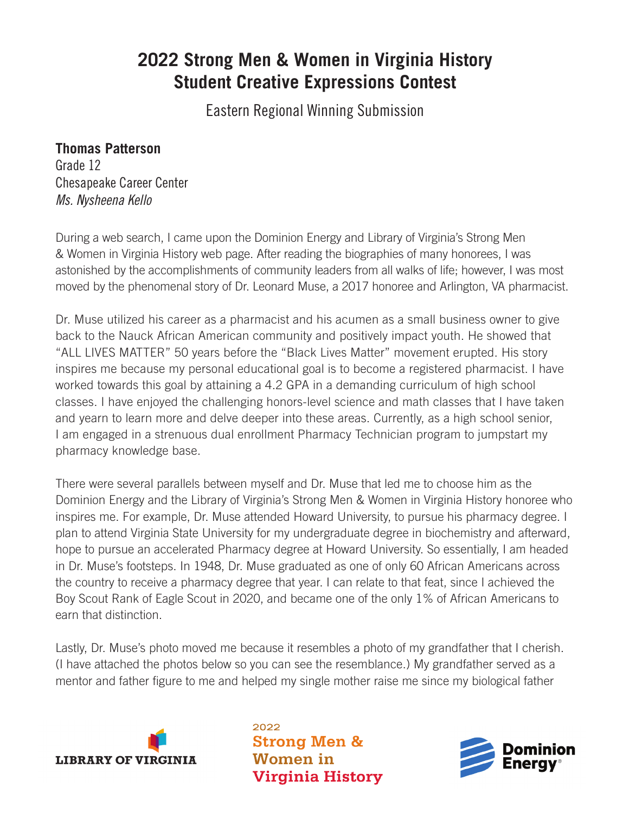## **2022 Strong Men & Women in Virginia History Student Creative Expressions Contest**

Eastern Regional Winning Submission

## **Thomas Patterson**

Grade 12 Chesapeake Career Center *Ms. Nysheena Kello*

During a web search, I came upon the Dominion Energy and Library of Virginia's Strong Men & Women in Virginia History web page. After reading the biographies of many honorees, I was astonished by the accomplishments of community leaders from all walks of life; however, I was most moved by the phenomenal story of Dr. Leonard Muse, a 2017 honoree and Arlington, VA pharmacist.

Dr. Muse utilized his career as a pharmacist and his acumen as a small business owner to give back to the Nauck African American community and positively impact youth. He showed that "ALL LIVES MATTER" 50 years before the "Black Lives Matter" movement erupted. His story inspires me because my personal educational goal is to become a registered pharmacist. I have worked towards this goal by attaining a 4.2 GPA in a demanding curriculum of high school classes. I have enjoyed the challenging honors-level science and math classes that I have taken and yearn to learn more and delve deeper into these areas. Currently, as a high school senior, I am engaged in a strenuous dual enrollment Pharmacy Technician program to jumpstart my pharmacy knowledge base.

There were several parallels between myself and Dr. Muse that led me to choose him as the Dominion Energy and the Library of Virginia's Strong Men & Women in Virginia History honoree who inspires me. For example, Dr. Muse attended Howard University, to pursue his pharmacy degree. I plan to attend Virginia State University for my undergraduate degree in biochemistry and afterward, hope to pursue an accelerated Pharmacy degree at Howard University. So essentially, I am headed in Dr. Muse's footsteps. In 1948, Dr. Muse graduated as one of only 60 African Americans across the country to receive a pharmacy degree that year. I can relate to that feat, since I achieved the Boy Scout Rank of Eagle Scout in 2020, and became one of the only 1% of African Americans to earn that distinction.

Lastly, Dr. Muse's photo moved me because it resembles a photo of my grandfather that I cherish. (I have attached the photos below so you can see the resemblance.) My grandfather served as a mentor and father figure to me and helped my single mother raise me since my biological father



2022 **Strong Men & Women** in **Virginia History**